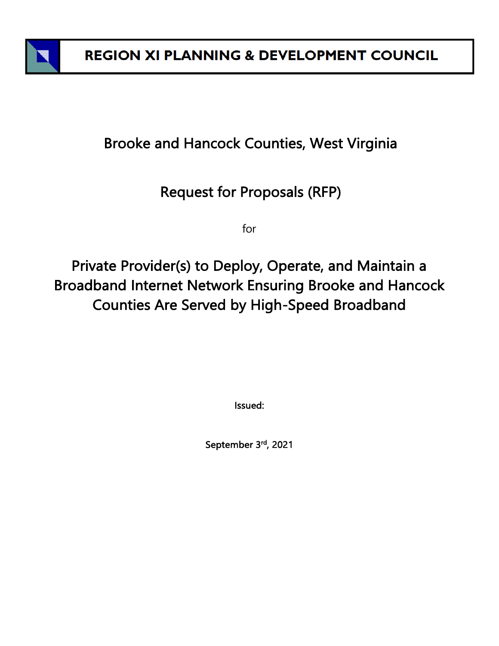

# Brooke and Hancock Counties, West Virginia

# Request for Proposals (RFP)

for

Private Provider(s) to Deploy, Operate, and Maintain a Broadband Internet Network Ensuring Brooke and Hancock Counties Are Served by High-Speed Broadband

Issued:

September 3<sup>rd</sup>, 2021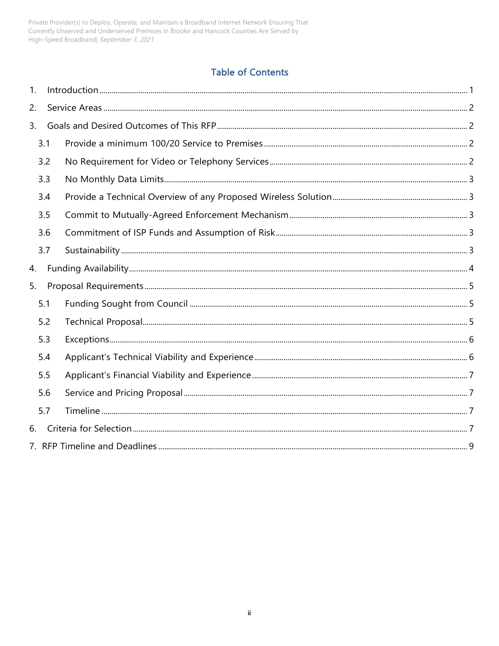Private Provider(s) to Deploy, Operate, and Maintain a Broadband Internet Network Ensuring That Currently Unserved and Underserved Premises in Brooke and Hancock Counties Are Served by High-Speed Broadband September 3, 2021

### **Table of Contents**

| 1. |     |  |
|----|-----|--|
| 2. |     |  |
| 3. |     |  |
|    | 3.1 |  |
|    | 3.2 |  |
|    | 3.3 |  |
|    | 3.4 |  |
|    | 3.5 |  |
|    | 3.6 |  |
|    | 3.7 |  |
| 4. |     |  |
| 5. |     |  |
|    | 5.1 |  |
|    | 5.2 |  |
|    | 5.3 |  |
|    | 5.4 |  |
|    | 5.5 |  |
|    | 5.6 |  |
|    | 5.7 |  |
| 6. |     |  |
|    |     |  |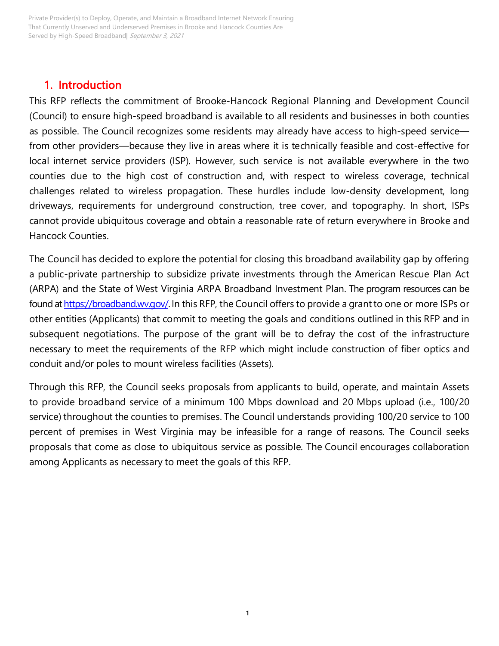# <span id="page-2-0"></span>1. Introduction

This RFP reflects the commitment of Brooke-Hancock Regional Planning and Development Council (Council) to ensure high-speed broadband is available to all residents and businesses in both counties as possible. The Council recognizes some residents may already have access to high-speed service from other providers—because they live in areas where it is technically feasible and cost-effective for local internet service providers (ISP). However, such service is not available everywhere in the two counties due to the high cost of construction and, with respect to wireless coverage, technical challenges related to wireless propagation. These hurdles include low-density development, long driveways, requirements for underground construction, tree cover, and topography. In short, ISPs cannot provide ubiquitous coverage and obtain a reasonable rate of return everywhere in Brooke and Hancock Counties.

The Council has decided to explore the potential for closing this broadband availability gap by offering a public-private partnership to subsidize private investments through the American Rescue Plan Act (ARPA) and the State of West Virginia ARPA Broadband Investment Plan. The program resources can be found a[t https://broadband.wv.gov/.](https://broadband.wv.gov/) In this RFP, the Council offers to provide a grant to one or more ISPs or other entities (Applicants) that commit to meeting the goals and conditions outlined in this RFP and in subsequent negotiations. The purpose of the grant will be to defray the cost of the infrastructure necessary to meet the requirements of the RFP which might include construction of fiber optics and conduit and/or poles to mount wireless facilities (Assets).

Through this RFP, the Council seeks proposals from applicants to build, operate, and maintain Assets to provide broadband service of a minimum 100 Mbps download and 20 Mbps upload (i.e., 100/20 service) throughout the counties to premises. The Council understands providing 100/20 service to 100 percent of premises in West Virginia may be infeasible for a range of reasons. The Council seeks proposals that come as close to ubiquitous service as possible. The Council encourages collaboration among Applicants as necessary to meet the goals of this RFP.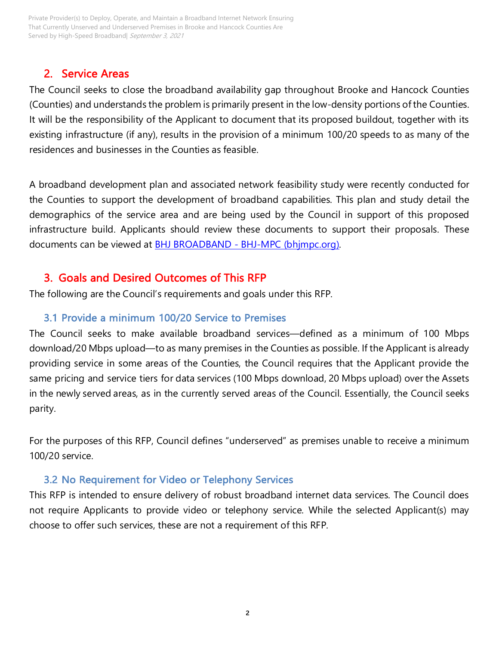Private Provider(s) to Deploy, Operate, and Maintain a Broadband Internet Network Ensuring That Currently Unserved and Underserved Premises in Brooke and Hancock Counties Are Served by High-Speed Broadband| September 3, 2021

### <span id="page-3-0"></span>2. Service Areas

The Council seeks to close the broadband availability gap throughout Brooke and Hancock Counties (Counties) and understands the problem is primarily present in the low-density portions of the Counties. It will be the responsibility of the Applicant to document that its proposed buildout, together with its existing infrastructure (if any), results in the provision of a minimum 100/20 speeds to as many of the residences and businesses in the Counties as feasible.

A broadband development plan and associated network feasibility study were recently conducted for the Counties to support the development of broadband capabilities. This plan and study detail the demographics of the service area and are being used by the Council in support of this proposed infrastructure build. Applicants should review these documents to support their proposals. These documents can be viewed at BHJ BROADBAND - [BHJ-MPC \(bhjmpc.org\).](https://www.bhjmpc.org/bhj-broadband/)

### 3. Goals and Desired Outcomes of This RFP

<span id="page-3-2"></span><span id="page-3-1"></span>The following are the Council's requirements and goals under this RFP.

### 3.1 Provide a minimum 100/20 Service to Premises

The Council seeks to make available broadband services—defined as a minimum of 100 Mbps download/20 Mbps upload—to as many premises in the Counties as possible. If the Applicant is already providing service in some areas of the Counties, the Council requires that the Applicant provide the same pricing and service tiers for data services (100 Mbps download, 20 Mbps upload) over the Assets in the newly served areas, as in the currently served areas of the Council. Essentially, the Council seeks parity.

For the purposes of this RFP, Council defines "underserved" as premises unable to receive a minimum 100/20 service.

#### <span id="page-3-3"></span>3.2 No Requirement for Video or Telephony Services

This RFP is intended to ensure delivery of robust broadband internet data services. The Council does not require Applicants to provide video or telephony service. While the selected Applicant(s) may choose to offer such services, these are not a requirement of this RFP.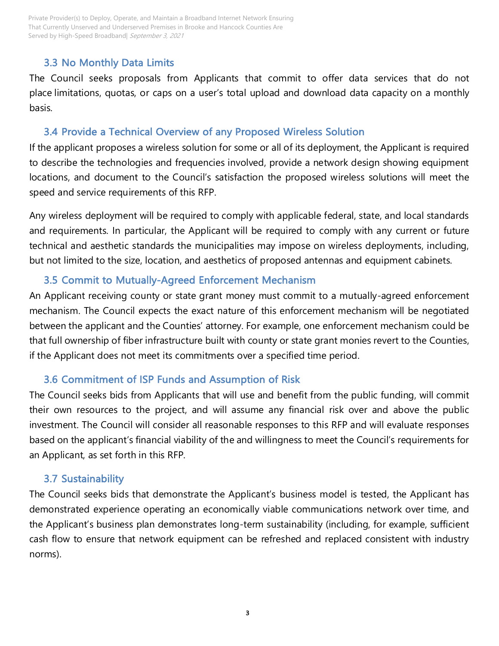### <span id="page-4-0"></span>3.3 No Monthly Data Limits

The Council seeks proposals from Applicants that commit to offer data services that do not place limitations, quotas, or caps on a user's total upload and download data capacity on a monthly basis.

### <span id="page-4-1"></span>3.4 Provide a Technical Overview of any Proposed Wireless Solution

If the applicant proposes a wireless solution for some or all of its deployment, the Applicant is required to describe the technologies and frequencies involved, provide a network design showing equipment locations, and document to the Council's satisfaction the proposed wireless solutions will meet the speed and service requirements of this RFP.

Any wireless deployment will be required to comply with applicable federal, state, and local standards and requirements. In particular, the Applicant will be required to comply with any current or future technical and aesthetic standards the municipalities may impose on wireless deployments, including, but not limited to the size, location, and aesthetics of proposed antennas and equipment cabinets.

## <span id="page-4-2"></span>3.5 Commit to Mutually-Agreed Enforcement Mechanism

An Applicant receiving county or state grant money must commit to a mutually-agreed enforcement mechanism. The Council expects the exact nature of this enforcement mechanism will be negotiated between the applicant and the Counties' attorney. For example, one enforcement mechanism could be that full ownership of fiber infrastructure built with county or state grant monies revert to the Counties, if the Applicant does not meet its commitments over a specified time period.

### <span id="page-4-3"></span>3.6 Commitment of ISP Funds and Assumption of Risk

The Council seeks bids from Applicants that will use and benefit from the public funding, will commit their own resources to the project, and will assume any financial risk over and above the public investment. The Council will consider all reasonable responses to this RFP and will evaluate responses based on the applicant's financial viability of the and willingness to meet the Council's requirements for an Applicant, as set forth in this RFP.

### <span id="page-4-4"></span>3.7 Sustainability

The Council seeks bids that demonstrate the Applicant's business model is tested, the Applicant has demonstrated experience operating an economically viable communications network over time, and the Applicant's business plan demonstrates long-term sustainability (including, for example, sufficient cash flow to ensure that network equipment can be refreshed and replaced consistent with industry norms).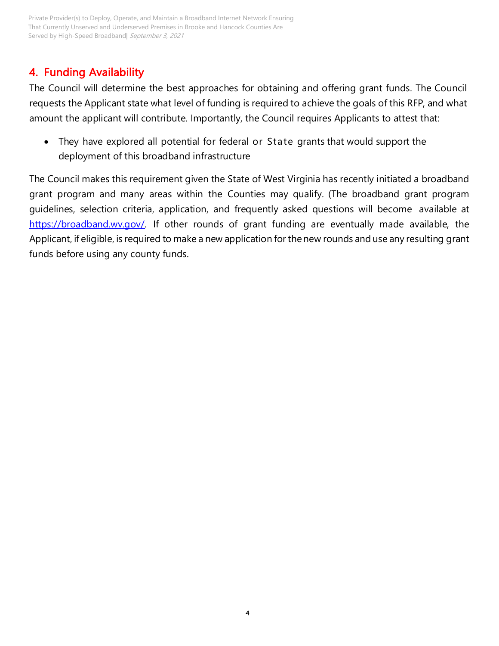# <span id="page-5-0"></span>4. Funding Availability

The Council will determine the best approaches for obtaining and offering grant funds. The Council requests the Applicant state what level of funding is required to achieve the goals of this RFP, and what amount the applicant will contribute. Importantly, the Council requires Applicants to attest that:

• They have explored all potential for federal or State grants that would support the deployment of this broadband infrastructure

The Council makes this requirement given the State of West Virginia has recently initiated a broadband grant program and many areas within the Counties may qualify. (The broadband grant program guidelines, selection criteria, application, and frequently asked questions will become available at [https://broadband.wv.gov/.](https://broadband.wv.gov/) If other rounds of grant funding are eventually made available, the Applicant, if eligible, is required to make a new application forthe new rounds and use any resulting grant funds before using any county funds.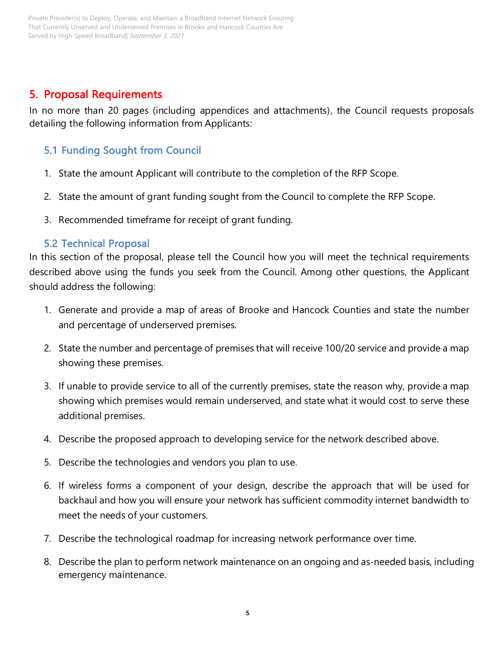# <span id="page-6-0"></span>5. Proposal Requirements

In no more than 20 pages (including appendices and attachments), the Council requests proposals detailing the following information from Applicants:

# <span id="page-6-1"></span>5.1 Funding Sought from Council

- 1. State the amount Applicant will contribute to the completion of the RFP Scope.
- 2. State the amount of grant funding sought from the Council to complete the RFP Scope.
- <span id="page-6-2"></span>3. Recommended timeframe for receipt of grant funding.

### 5.2 Technical Proposal

In this section of the proposal, please tell the Council how you will meet the technical requirements described above using the funds you seek from the Council. Among other questions, the Applicant should address the following:

- 1. Generate and provide a map of areas of Brooke and Hancock Counties and state the number and percentage of underserved premises.
- 2. State the number and percentage of premises that will receive 100/20 service and provide a map showing these premises.
- 3. If unable to provide service to all of the currently premises, state the reason why, provide a map showing which premises would remain underserved, and state what it would cost to serve these additional premises.
- 4. Describe the proposed approach to developing service for the network described above.
- 5. Describe the technologies and vendors you plan to use.
- 6. If wireless forms a component of your design, describe the approach that will be used for backhaul and how you will ensure your network has sufficient commodity internet bandwidth to meet the needs of your customers.
- 7. Describe the technological roadmap for increasing network performance over time.
- 8. Describe the plan to perform network maintenance on an ongoing and as-needed basis, including emergency maintenance.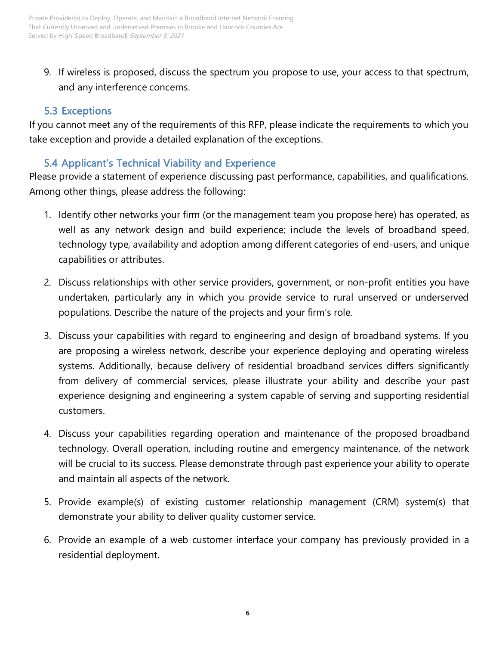9. If wireless is proposed, discuss the spectrum you propose to use, your access to that spectrum, and any interference concerns.

## <span id="page-7-0"></span>5.3 Exceptions

If you cannot meet any of the requirements of this RFP, please indicate the requirements to which you take exception and provide a detailed explanation of the exceptions.

# <span id="page-7-1"></span>5.4 Applicant's Technical Viability and Experience

Please provide a statement of experience discussing past performance, capabilities, and qualifications. Among other things, please address the following:

- 1. Identify other networks your firm (or the management team you propose here) has operated, as well as any network design and build experience; include the levels of broadband speed, technology type, availability and adoption among different categories of end-users, and unique capabilities or attributes.
- 2. Discuss relationships with other service providers, government, or non-profit entities you have undertaken, particularly any in which you provide service to rural unserved or underserved populations. Describe the nature of the projects and your firm's role.
- 3. Discuss your capabilities with regard to engineering and design of broadband systems. If you are proposing a wireless network, describe your experience deploying and operating wireless systems. Additionally, because delivery of residential broadband services differs significantly from delivery of commercial services, please illustrate your ability and describe your past experience designing and engineering a system capable of serving and supporting residential customers.
- 4. Discuss your capabilities regarding operation and maintenance of the proposed broadband technology. Overall operation, including routine and emergency maintenance, of the network will be crucial to its success. Please demonstrate through past experience your ability to operate and maintain all aspects of the network.
- 5. Provide example(s) of existing customer relationship management (CRM) system(s) that demonstrate your ability to deliver quality customer service.
- 6. Provide an example of a web customer interface your company has previously provided in a residential deployment.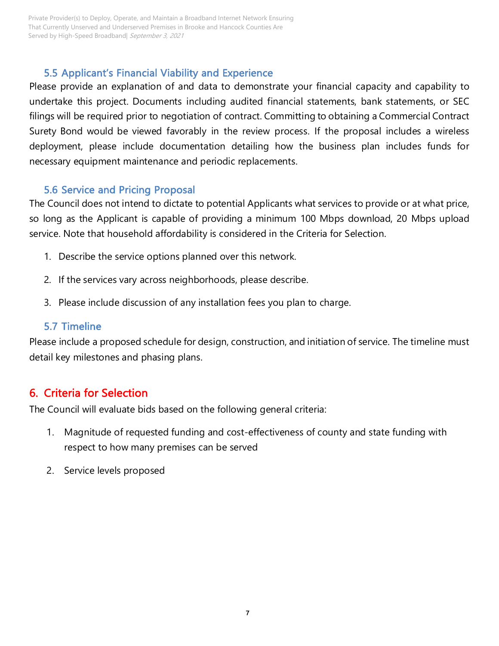Private Provider(s) to Deploy, Operate, and Maintain a Broadband Internet Network Ensuring That Currently Unserved and Underserved Premises in Brooke and Hancock Counties Are Served by High-Speed Broadband| September 3, 2021

### 5.5 Applicant's Financial Viability and Experience

<span id="page-8-0"></span>Please provide an explanation of and data to demonstrate your financial capacity and capability to undertake this project. Documents including audited financial statements, bank statements, or SEC filings will be required prior to negotiation of contract. Committing to obtaining a Commercial Contract Surety Bond would be viewed favorably in the review process. If the proposal includes a wireless deployment, please include documentation detailing how the business plan includes funds for necessary equipment maintenance and periodic replacements.

### 5.6 Service and Pricing Proposal

<span id="page-8-1"></span>The Council does not intend to dictate to potential Applicants what services to provide or at what price, so long as the Applicant is capable of providing a minimum 100 Mbps download, 20 Mbps upload service. Note that household affordability is considered in the Criteria for Selection.

- 1. Describe the service options planned over this network.
- 2. If the services vary across neighborhoods, please describe.
- 3. Please include discussion of any installation fees you plan to charge.

### <span id="page-8-2"></span>5.7 Timeline

Please include a proposed schedule for design, construction, and initiation of service. The timeline must detail key milestones and phasing plans.

## <span id="page-8-3"></span>6. Criteria for Selection

The Council will evaluate bids based on the following general criteria:

- 1. Magnitude of requested funding and cost-effectiveness of county and state funding with respect to how many premises can be served
- 2. Service levels proposed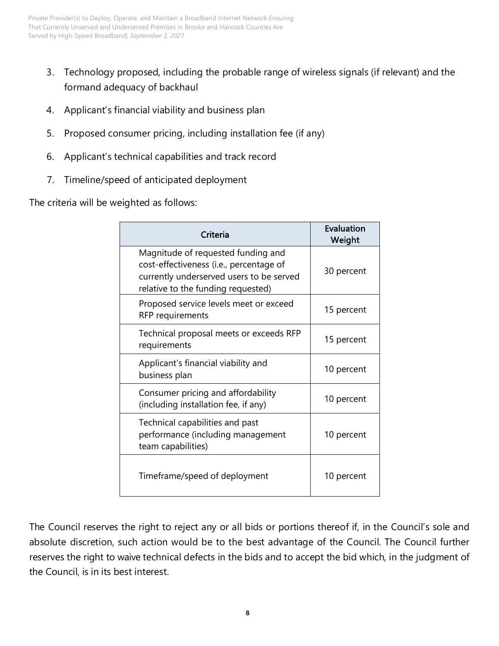- 3. Technology proposed, including the probable range of wireless signals (if relevant) and the formand adequacy of backhaul
- 4. Applicant's financial viability and business plan
- 5. Proposed consumer pricing, including installation fee (if any)
- 6. Applicant's technical capabilities and track record
- 7. Timeline/speed of anticipated deployment

The criteria will be weighted as follows:

| Criteria                                                                                                                                                        | Evaluation<br>Weight |
|-----------------------------------------------------------------------------------------------------------------------------------------------------------------|----------------------|
| Magnitude of requested funding and<br>cost-effectiveness (i.e., percentage of<br>currently underserved users to be served<br>relative to the funding requested) | 30 percent           |
| Proposed service levels meet or exceed<br>RFP requirements                                                                                                      | 15 percent           |
| Technical proposal meets or exceeds RFP<br>requirements                                                                                                         | 15 percent           |
| Applicant's financial viability and<br>business plan                                                                                                            | 10 percent           |
| Consumer pricing and affordability<br>(including installation fee, if any)                                                                                      | 10 percent           |
| Technical capabilities and past<br>performance (including management<br>team capabilities)                                                                      | 10 percent           |
| Timeframe/speed of deployment                                                                                                                                   | 10 percent           |

The Council reserves the right to reject any or all bids or portions thereof if, in the Council's sole and absolute discretion, such action would be to the best advantage of the Council. The Council further reserves the right to waive technical defects in the bids and to accept the bid which, in the judgment of the Council, is in its best interest.